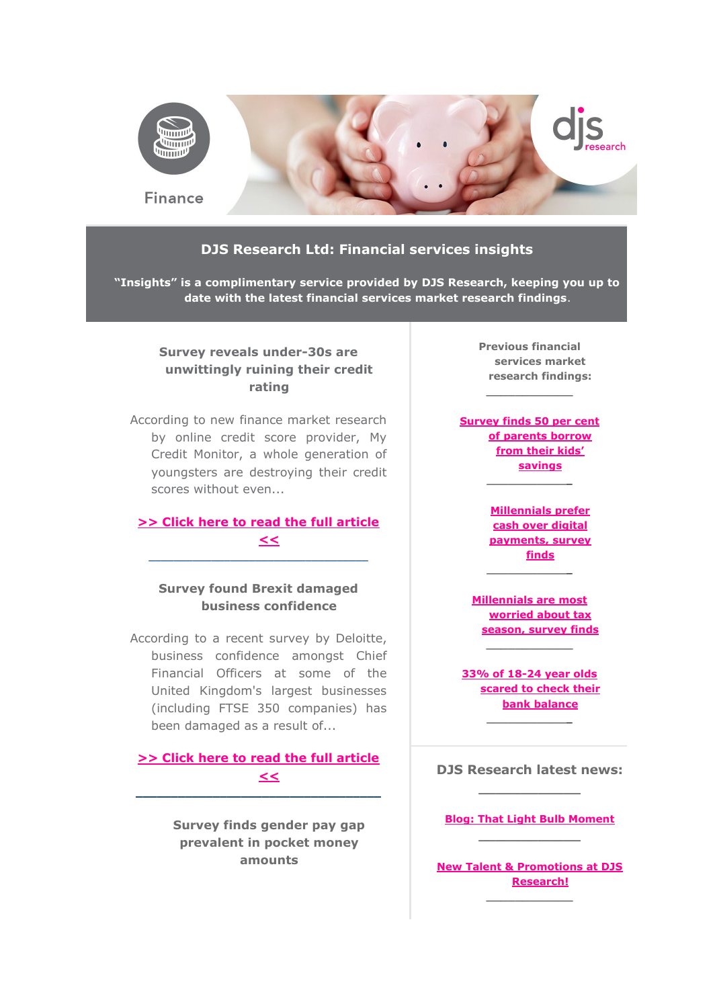

#### **DJS Research Ltd: Financial services insights**

**"Insights" is a complimentary service provided by DJS Research, keeping you up to date with the latest financial services market research findings**.

## **Survey reveals under-30s are unwittingly ruining their credit rating**

According to new finance market research by online credit score provider, My Credit Monitor, a whole generation of youngsters are destroying their credit scores without even...

### **[>> Click here to read the full article](http://www.djsresearch.co.uk/FinancialServicesMarketResearchInsightsAndFindings/article/Survey-reveals-under-30s-are-unwittingly-ruining-their-credit-rating-03255)  [<<](http://www.djsresearch.co.uk/FinancialServicesMarketResearchInsightsAndFindings/article/Survey-reveals-under-30s-are-unwittingly-ruining-their-credit-rating-03255)** \_\_\_\_\_\_\_\_\_\_\_\_\_\_\_\_\_\_\_\_\_\_\_\_\_\_\_\_\_\_\_\_\_\_\_

## **Survey found Brexit damaged business confidence**

According to a recent survey by Deloitte, business confidence amongst Chief Financial Officers at some of the United Kingdom's largest businesses (including FTSE 350 companies) has been damaged as a result of...

**[>> Click here to read the full article](http://www.djsresearch.co.uk/FinancialServicesMarketResearchInsightsAndFindings/article/Survey-found-Brexit-damaged-business-confidence-03205)  [<<](http://www.djsresearch.co.uk/FinancialServicesMarketResearchInsightsAndFindings/article/Survey-found-Brexit-damaged-business-confidence-03205) \_\_\_\_\_\_\_\_\_\_\_\_\_\_\_\_\_\_\_\_\_\_\_\_\_\_\_\_\_\_\_\_\_\_\_**

> **Survey finds gender pay gap prevalent in pocket money amounts**

**Previous financial services market research findings:**

**\_\_\_\_\_\_\_\_\_\_\_\_**

**[Survey finds 50 per cent](http://www.djsresearch.co.uk/FinancialServicesMarketResearchInsightsAndFindings/article/Survey-finds-50-per-cent-of-parents-borrow-from-their-kids-savings-03102)  [of parents borrow](http://www.djsresearch.co.uk/FinancialServicesMarketResearchInsightsAndFindings/article/Survey-finds-50-per-cent-of-parents-borrow-from-their-kids-savings-03102)  [from their kids'](http://www.djsresearch.co.uk/FinancialServicesMarketResearchInsightsAndFindings/article/Survey-finds-50-per-cent-of-parents-borrow-from-their-kids-savings-03102)  [savings](http://www.djsresearch.co.uk/FinancialServicesMarketResearchInsightsAndFindings/article/Survey-finds-50-per-cent-of-parents-borrow-from-their-kids-savings-03102)**

**\_\_\_\_\_\_\_\_\_\_\_\_**

**[Millennials prefer](http://www.djsresearch.co.uk/FinancialServicesMarketResearchInsightsAndFindings/article/Millennials-prefer-cash-over-digital-payments-survey-finds-03058)  [cash over digital](http://www.djsresearch.co.uk/FinancialServicesMarketResearchInsightsAndFindings/article/Millennials-prefer-cash-over-digital-payments-survey-finds-03058)  [payments, survey](http://www.djsresearch.co.uk/FinancialServicesMarketResearchInsightsAndFindings/article/Millennials-prefer-cash-over-digital-payments-survey-finds-03058)  [finds](http://www.djsresearch.co.uk/FinancialServicesMarketResearchInsightsAndFindings/article/Millennials-prefer-cash-over-digital-payments-survey-finds-03058) \_\_\_\_\_\_\_\_\_\_\_\_**

**[Millennials are most](http://www.djsresearch.co.uk/FinancialServicesMarketResearchInsightsAndFindings/article/Millennials-are-most-worried-about-tax-season-survey-finds-03001)  [worried about tax](http://www.djsresearch.co.uk/FinancialServicesMarketResearchInsightsAndFindings/article/Millennials-are-most-worried-about-tax-season-survey-finds-03001)  [season, survey finds](http://www.djsresearch.co.uk/FinancialServicesMarketResearchInsightsAndFindings/article/Millennials-are-most-worried-about-tax-season-survey-finds-03001)**

**[33% of 18-24 year olds](http://www.djsresearch.co.uk/FinancialServicesMarketResearchInsightsAndFindings/article/33percent-of-18-24-year-olds-scared-to-check-their-bank-balance-02952)  [scared to check their](http://www.djsresearch.co.uk/FinancialServicesMarketResearchInsightsAndFindings/article/33percent-of-18-24-year-olds-scared-to-check-their-bank-balance-02952)  [bank balance](http://www.djsresearch.co.uk/FinancialServicesMarketResearchInsightsAndFindings/article/33percent-of-18-24-year-olds-scared-to-check-their-bank-balance-02952) \_\_\_\_\_\_\_\_\_\_\_\_**

**\_\_\_\_\_\_\_\_\_\_\_\_**

**DJS Research latest news: \_\_\_\_\_\_\_\_\_\_\_\_**

**[Blog: That Light Bulb Moment](http://www.djsresearch.co.uk/news/article/That-Light-Bulb-Moment) \_\_\_\_\_\_\_\_\_\_\_\_**

**[New Talent & Promotions at DJS](http://www.djsresearch.co.uk/news/article/New-Talent-Promotions-at-DJS-Research)  [Research!](http://www.djsresearch.co.uk/news/article/New-Talent-Promotions-at-DJS-Research) \_\_\_\_\_\_\_\_\_\_\_\_**